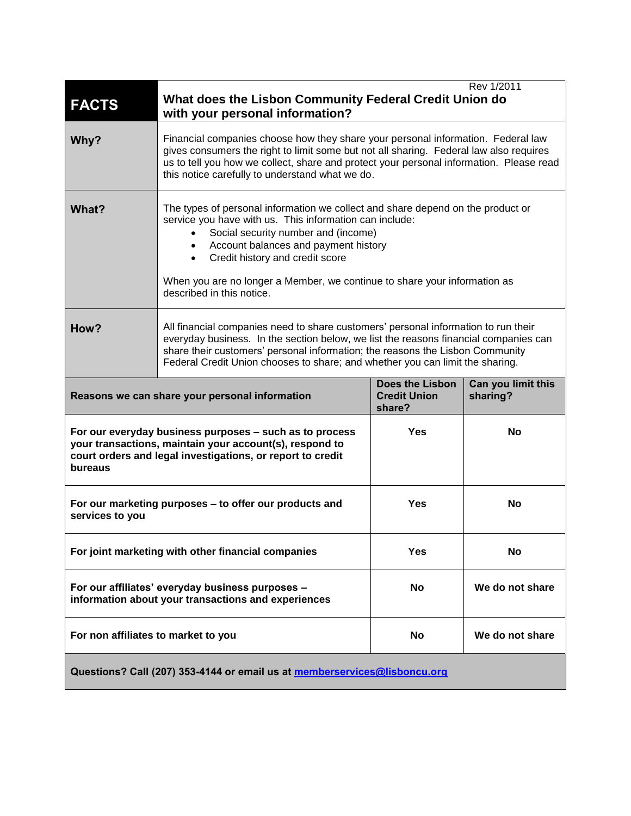| <b>FACTS</b>                                                                                                                                                                                | Rev 1/2011<br>What does the Lisbon Community Federal Credit Union do<br>with your personal information?                                                                                                                                                                                                                                                                  |                                                         |                                |
|---------------------------------------------------------------------------------------------------------------------------------------------------------------------------------------------|--------------------------------------------------------------------------------------------------------------------------------------------------------------------------------------------------------------------------------------------------------------------------------------------------------------------------------------------------------------------------|---------------------------------------------------------|--------------------------------|
| Why?                                                                                                                                                                                        | Financial companies choose how they share your personal information. Federal law<br>gives consumers the right to limit some but not all sharing. Federal law also requires<br>us to tell you how we collect, share and protect your personal information. Please read<br>this notice carefully to understand what we do.                                                 |                                                         |                                |
| What?                                                                                                                                                                                       | The types of personal information we collect and share depend on the product or<br>service you have with us. This information can include:<br>Social security number and (income)<br>• Account balances and payment history<br>Credit history and credit score<br>When you are no longer a Member, we continue to share your information as<br>described in this notice. |                                                         |                                |
| How?                                                                                                                                                                                        | All financial companies need to share customers' personal information to run their<br>everyday business. In the section below, we list the reasons financial companies can<br>share their customers' personal information; the reasons the Lisbon Community<br>Federal Credit Union chooses to share; and whether you can limit the sharing.                             |                                                         |                                |
| Reasons we can share your personal information                                                                                                                                              |                                                                                                                                                                                                                                                                                                                                                                          | <b>Does the Lisbon</b><br><b>Credit Union</b><br>share? | Can you limit this<br>sharing? |
| For our everyday business purposes - such as to process<br>your transactions, maintain your account(s), respond to<br>court orders and legal investigations, or report to credit<br>bureaus |                                                                                                                                                                                                                                                                                                                                                                          | <b>Yes</b>                                              | No                             |
| For our marketing purposes - to offer our products and<br>services to you                                                                                                                   |                                                                                                                                                                                                                                                                                                                                                                          | <b>Yes</b>                                              | No                             |
| For joint marketing with other financial companies                                                                                                                                          |                                                                                                                                                                                                                                                                                                                                                                          | <b>Yes</b>                                              | <b>No</b>                      |
| For our affiliates' everyday business purposes -<br>information about your transactions and experiences                                                                                     |                                                                                                                                                                                                                                                                                                                                                                          | <b>No</b>                                               | We do not share                |
| For non affiliates to market to you                                                                                                                                                         |                                                                                                                                                                                                                                                                                                                                                                          | No                                                      | We do not share                |
| Questions? Call (207) 353-4144 or email us at memberservices@lisboncu.org                                                                                                                   |                                                                                                                                                                                                                                                                                                                                                                          |                                                         |                                |